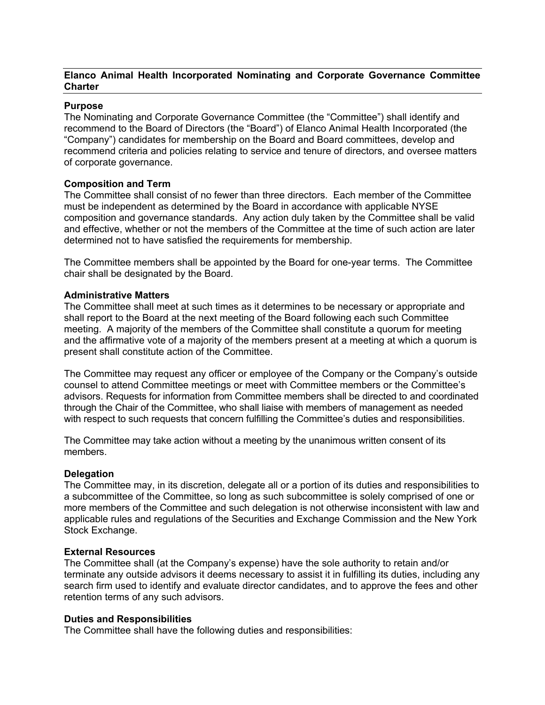# **Elanco Animal Health Incorporated Nominating and Corporate Governance Committee Charter**

# **Purpose**

The Nominating and Corporate Governance Committee (the "Committee") shall identify and recommend to the Board of Directors (the "Board") of Elanco Animal Health Incorporated (the "Company") candidates for membership on the Board and Board committees, develop and recommend criteria and policies relating to service and tenure of directors, and oversee matters of corporate governance.

# **Composition and Term**

The Committee shall consist of no fewer than three directors. Each member of the Committee must be independent as determined by the Board in accordance with applicable NYSE composition and governance standards. Any action duly taken by the Committee shall be valid and effective, whether or not the members of the Committee at the time of such action are later determined not to have satisfied the requirements for membership.

The Committee members shall be appointed by the Board for one-year terms. The Committee chair shall be designated by the Board.

### **Administrative Matters**

The Committee shall meet at such times as it determines to be necessary or appropriate and shall report to the Board at the next meeting of the Board following each such Committee meeting. A majority of the members of the Committee shall constitute a quorum for meeting and the affirmative vote of a majority of the members present at a meeting at which a quorum is present shall constitute action of the Committee.

The Committee may request any officer or employee of the Company or the Company's outside counsel to attend Committee meetings or meet with Committee members or the Committee's advisors. Requests for information from Committee members shall be directed to and coordinated through the Chair of the Committee, who shall liaise with members of management as needed with respect to such requests that concern fulfilling the Committee's duties and responsibilities.

The Committee may take action without a meeting by the unanimous written consent of its members.

### **Delegation**

The Committee may, in its discretion, delegate all or a portion of its duties and responsibilities to a subcommittee of the Committee, so long as such subcommittee is solely comprised of one or more members of the Committee and such delegation is not otherwise inconsistent with law and applicable rules and regulations of the Securities and Exchange Commission and the New York Stock Exchange.

### **External Resources**

The Committee shall (at the Company's expense) have the sole authority to retain and/or terminate any outside advisors it deems necessary to assist it in fulfilling its duties, including any search firm used to identify and evaluate director candidates, and to approve the fees and other retention terms of any such advisors.

### **Duties and Responsibilities**

The Committee shall have the following duties and responsibilities: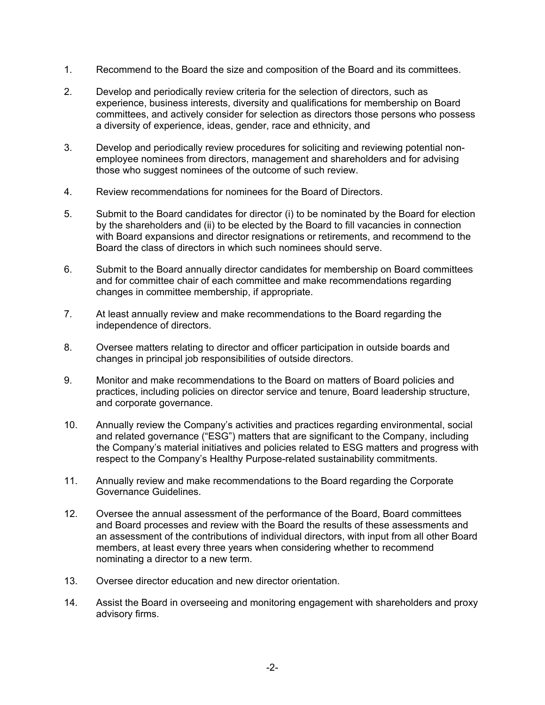- 1. Recommend to the Board the size and composition of the Board and its committees.
- 2. Develop and periodically review criteria for the selection of directors, such as experience, business interests, diversity and qualifications for membership on Board committees, and actively consider for selection as directors those persons who possess a diversity of experience, ideas, gender, race and ethnicity, and
- 3. Develop and periodically review procedures for soliciting and reviewing potential nonemployee nominees from directors, management and shareholders and for advising those who suggest nominees of the outcome of such review.
- 4. Review recommendations for nominees for the Board of Directors.
- 5. Submit to the Board candidates for director (i) to be nominated by the Board for election by the shareholders and (ii) to be elected by the Board to fill vacancies in connection with Board expansions and director resignations or retirements, and recommend to the Board the class of directors in which such nominees should serve.
- 6. Submit to the Board annually director candidates for membership on Board committees and for committee chair of each committee and make recommendations regarding changes in committee membership, if appropriate.
- 7. At least annually review and make recommendations to the Board regarding the independence of directors.
- 8. Oversee matters relating to director and officer participation in outside boards and changes in principal job responsibilities of outside directors.
- 9. Monitor and make recommendations to the Board on matters of Board policies and practices, including policies on director service and tenure, Board leadership structure, and corporate governance.
- 10. Annually review the Company's activities and practices regarding environmental, social and related governance ("ESG") matters that are significant to the Company, including the Company's material initiatives and policies related to ESG matters and progress with respect to the Company's Healthy Purpose-related sustainability commitments.
- 11. Annually review and make recommendations to the Board regarding the Corporate Governance Guidelines.
- 12. Oversee the annual assessment of the performance of the Board, Board committees and Board processes and review with the Board the results of these assessments and an assessment of the contributions of individual directors, with input from all other Board members, at least every three years when considering whether to recommend nominating a director to a new term.
- 13. Oversee director education and new director orientation.
- 14. Assist the Board in overseeing and monitoring engagement with shareholders and proxy advisory firms.